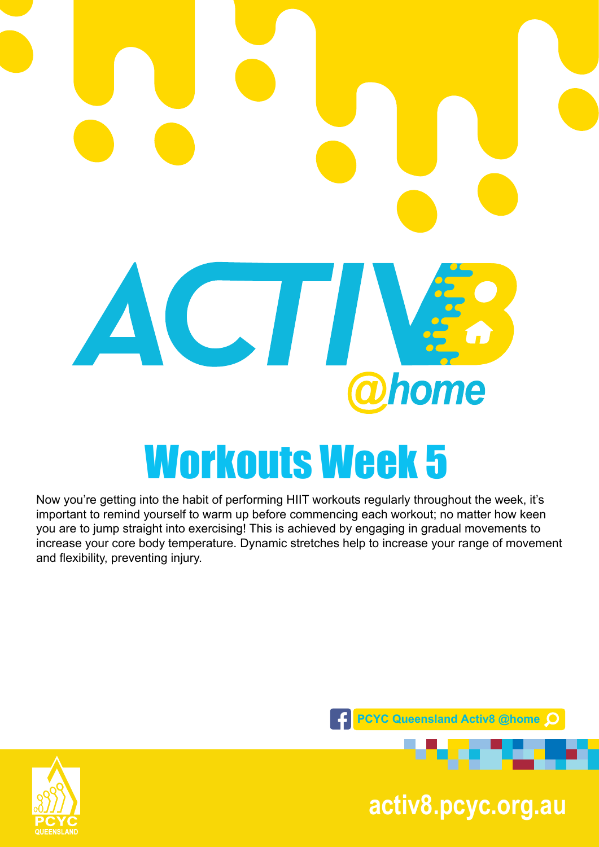

#### Now you're getting into the habit of performing HIIT workouts regularly throughout the week, it's important to remind yourself to warm up before commencing each workout; no matter how keen you are to jump straight into exercising! This is achieved by engaging in gradual movements to increase your core body temperature. Dynamic stretches help to increase your range of movement and flexibility, preventing injury.



**pcyc.org.au activ8.pcyc.org.au**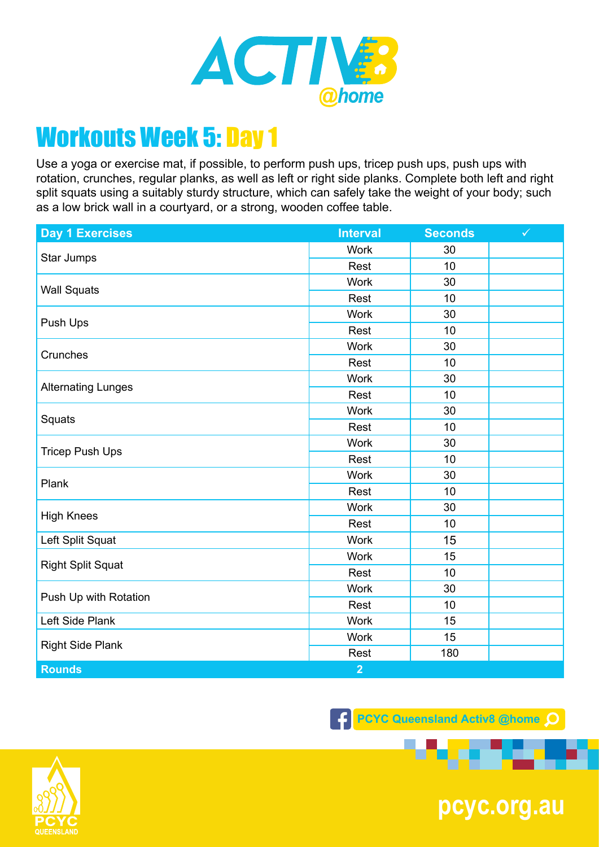

Use a yoga or exercise mat, if possible, to perform push ups, tricep push ups, push ups with rotation, crunches, regular planks, as well as left or right side planks. Complete both left and right split squats using a suitably sturdy structure, which can safely take the weight of your body; such as a low brick wall in a courtyard, or a strong, wooden coffee table.

| <b>Day 1 Exercises</b>    | <b>Interval</b> | <b>Seconds</b> | $\checkmark$ |
|---------------------------|-----------------|----------------|--------------|
| Star Jumps                | <b>Work</b>     | 30             |              |
|                           | Rest            | 10             |              |
| <b>Wall Squats</b>        | <b>Work</b>     | 30             |              |
|                           | Rest            | 10             |              |
| Push Ups                  | <b>Work</b>     | 30             |              |
|                           | Rest            | 10             |              |
| Crunches                  | Work            | 30             |              |
|                           | Rest            | 10             |              |
| <b>Alternating Lunges</b> | <b>Work</b>     | 30             |              |
|                           | Rest            | 10             |              |
|                           | <b>Work</b>     | 30             |              |
| Squats                    | Rest            | 10             |              |
|                           | Work            | 30             |              |
| <b>Tricep Push Ups</b>    | Rest            | 10             |              |
| Plank                     | <b>Work</b>     | 30             |              |
|                           | Rest            | 10             |              |
| <b>High Knees</b>         | <b>Work</b>     | 30             |              |
|                           | Rest            | 10             |              |
| Left Split Squat          | <b>Work</b>     | 15             |              |
| <b>Right Split Squat</b>  | <b>Work</b>     | 15             |              |
|                           | Rest            | 10             |              |
| Push Up with Rotation     | Work            | 30             |              |
|                           | Rest            | 10             |              |
| Left Side Plank           | <b>Work</b>     | 15             |              |
| <b>Right Side Plank</b>   | Work            | 15             |              |
|                           | Rest            | 180            |              |
| <b>Rounds</b>             | $\overline{2}$  |                |              |

**F PCYC Queensland Activ8 @home Q** 



**pcyc.org.au**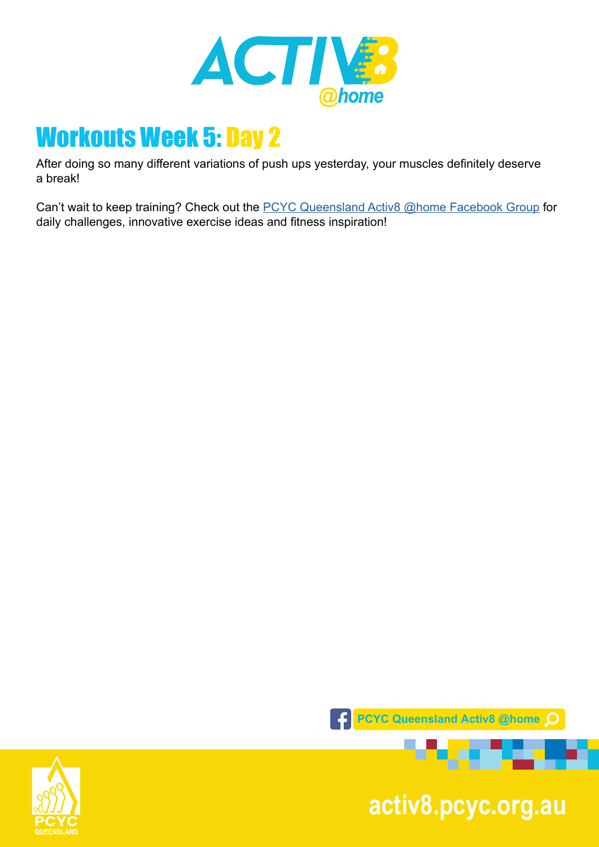

After doing so many different variations of push ups yesterday, your muscles definitely deserve a break!

Can't wait to keep training? Check out the [PCYC Queensland Activ8 @home Facebook Group](https://www.facebook.com/groups/2652320985090996/) for daily challenges, innovative exercise ideas and fitness inspiration!



**pcyc.org.au activ8.pcyc.org.au**

. . .

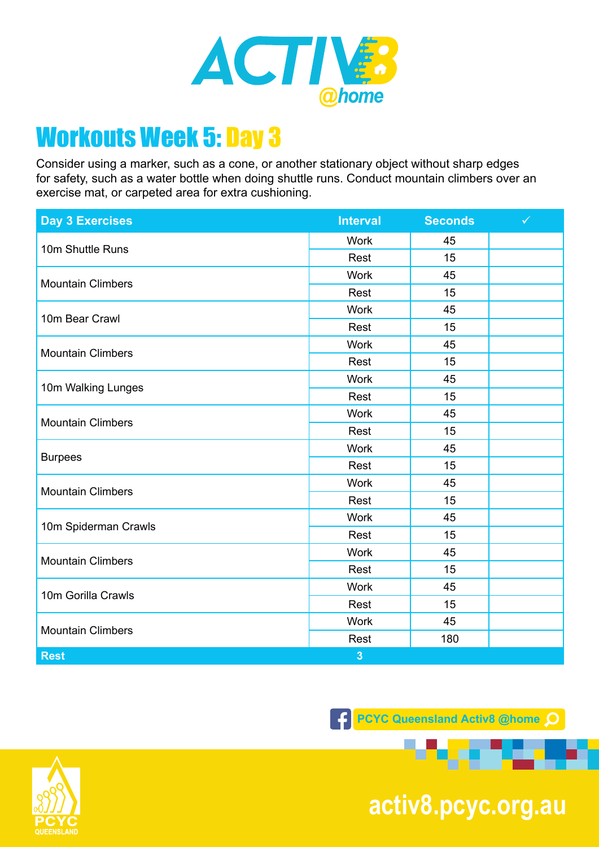

Consider using a marker, such as a cone, or another stationary object without sharp edges for safety, such as a water bottle when doing shuttle runs. Conduct mountain climbers over an exercise mat, or carpeted area for extra cushioning.

| <b>Day 3 Exercises</b>   | <b>Interval</b>         | <b>Seconds</b> | $\checkmark$ |
|--------------------------|-------------------------|----------------|--------------|
| 10m Shuttle Runs         | <b>Work</b>             | 45             |              |
|                          | Rest                    | 15             |              |
| <b>Mountain Climbers</b> | <b>Work</b>             | 45             |              |
|                          | Rest                    | 15             |              |
| 10m Bear Crawl           | <b>Work</b>             | 45             |              |
|                          | Rest                    | 15             |              |
| <b>Mountain Climbers</b> | <b>Work</b>             | 45             |              |
|                          | Rest                    | 15             |              |
| 10m Walking Lunges       | <b>Work</b>             | 45             |              |
|                          | Rest                    | 15             |              |
|                          | Work                    | 45             |              |
| <b>Mountain Climbers</b> | Rest                    | 15             |              |
| <b>Burpees</b>           | <b>Work</b>             | 45             |              |
|                          | Rest                    | 15             |              |
|                          | Work                    | 45             |              |
| <b>Mountain Climbers</b> | Rest                    | 15             |              |
| 10m Spiderman Crawls     | Work                    | 45             |              |
|                          | Rest                    | 15             |              |
| <b>Mountain Climbers</b> | <b>Work</b>             | 45             |              |
|                          | Rest                    | 15             |              |
| 10m Gorilla Crawls       | <b>Work</b>             | 45             |              |
|                          | Rest                    | 15             |              |
| <b>Mountain Climbers</b> | <b>Work</b>             | 45             |              |
|                          | Rest                    | 180            |              |
| <b>Rest</b>              | $\overline{\mathbf{3}}$ |                |              |

**F** PCYC Queensland Activ8 @home



**pcyc.org.au activ8.pcyc.org.au**

. . .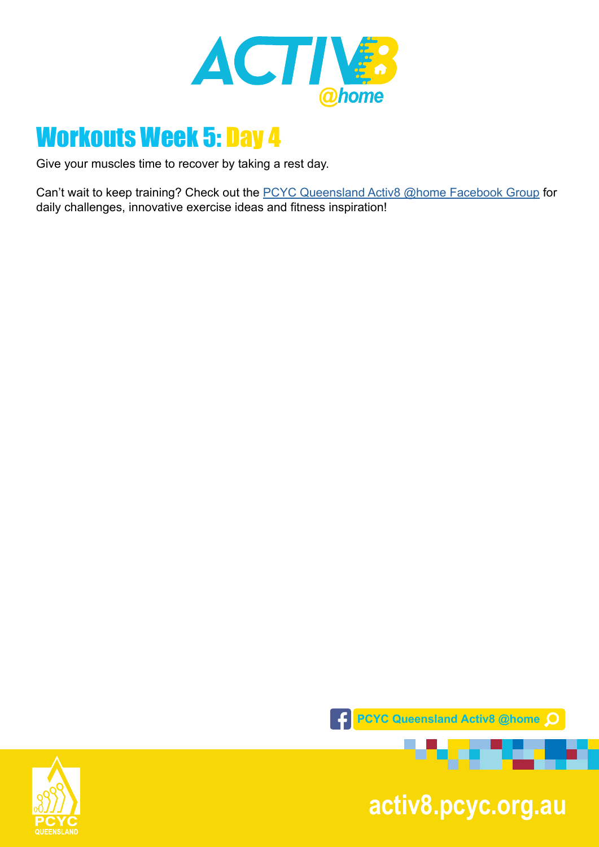

Give your muscles time to recover by taking a rest day.

Can't wait to keep training? Check out the **PCYC Queensland Activ8 @home Facebook Group** for daily challenges, innovative exercise ideas and fitness inspiration!



**pcyc.org.au activ8.pcyc.org.au**

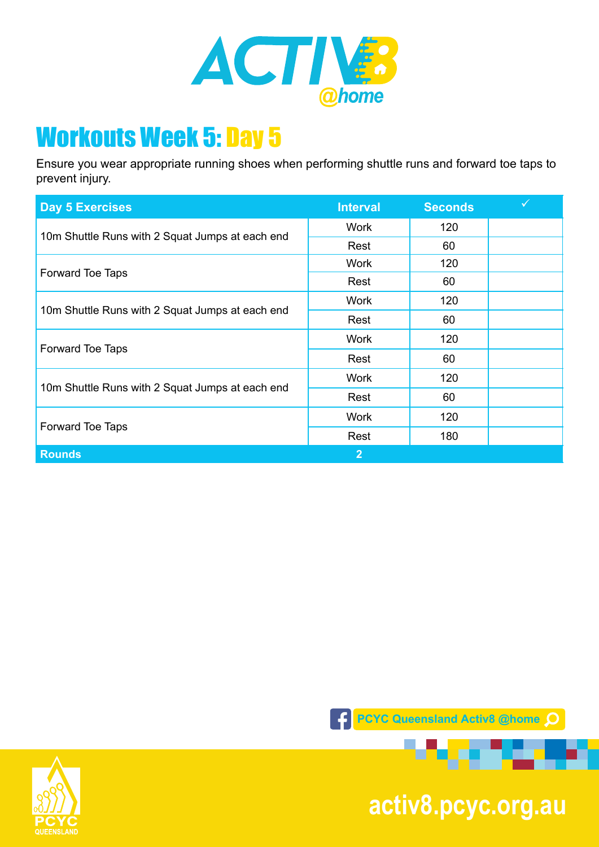

Ensure you wear appropriate running shoes when performing shuttle runs and forward toe taps to prevent injury.

| <b>Day 5 Exercises</b>                          | <b>Interval</b> | <b>Seconds</b> |  |
|-------------------------------------------------|-----------------|----------------|--|
| 10m Shuttle Runs with 2 Squat Jumps at each end | <b>Work</b>     | 120            |  |
|                                                 | Rest            | 60             |  |
| Forward Toe Taps                                | <b>Work</b>     | 120            |  |
|                                                 | Rest            | 60             |  |
| 10m Shuttle Runs with 2 Squat Jumps at each end | <b>Work</b>     | 120            |  |
|                                                 | Rest            | 60             |  |
| Forward Toe Taps                                | <b>Work</b>     | 120            |  |
|                                                 | Rest            | 60             |  |
| 10m Shuttle Runs with 2 Squat Jumps at each end | <b>Work</b>     | 120            |  |
|                                                 | Rest            | 60             |  |
| Forward Toe Taps                                | <b>Work</b>     | 120            |  |
|                                                 | Rest            | 180            |  |
| <b>Rounds</b>                                   | $\overline{2}$  |                |  |





**pcyc.org.au activ8.pcyc.org.au**

. . .

.er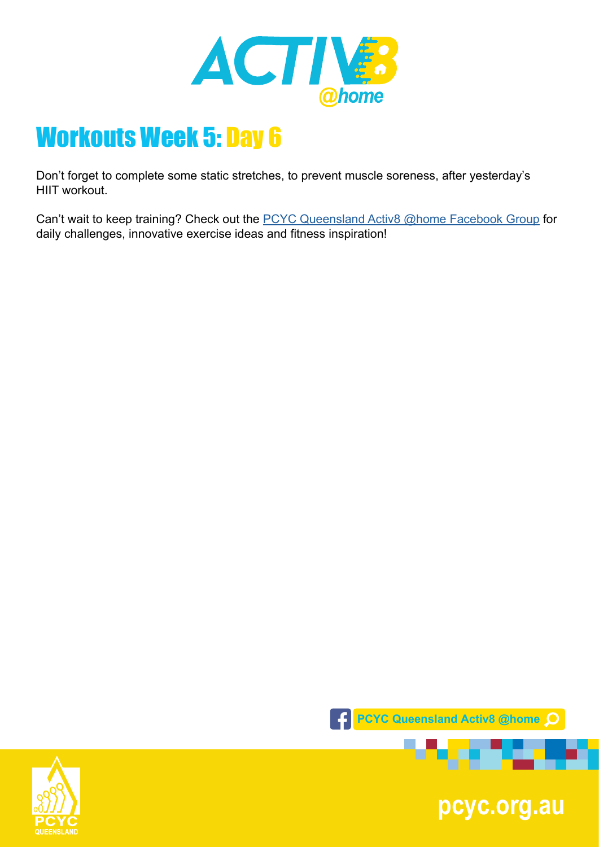

Don't forget to complete some static stretches, to prevent muscle soreness, after yesterday's HIIT workout.

Can't wait to keep training? Check out the **PCYC Queensland Activ8 @home Facebook Group** for daily challenges, innovative exercise ideas and fitness inspiration!